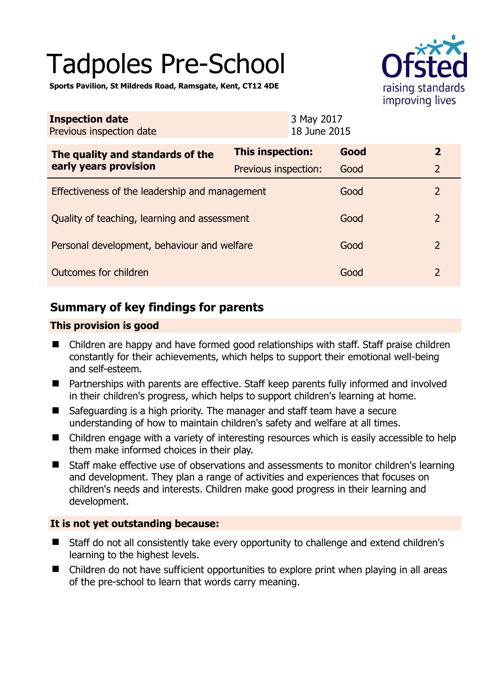# Tadpoles Pre-School



**Sports Pavilion, St Mildreds Road, Ramsgate, Kent, CT12 4DE** 

| <b>Inspection date</b><br>Previous inspection date        | 3 May 2017<br>18 June 2015 |      |                |
|-----------------------------------------------------------|----------------------------|------|----------------|
| The quality and standards of the<br>early years provision | <b>This inspection:</b>    | Good | $\overline{2}$ |
|                                                           | Previous inspection:       | Good | $\overline{2}$ |
| Effectiveness of the leadership and management            |                            | Good | $\overline{2}$ |
| Quality of teaching, learning and assessment              |                            | Good | $\overline{2}$ |
| Personal development, behaviour and welfare               |                            | Good | $\overline{2}$ |
| Outcomes for children                                     |                            | Good | $\overline{2}$ |

# **Summary of key findings for parents**

## **This provision is good**

- Children are happy and have formed good relationships with staff. Staff praise children constantly for their achievements, which helps to support their emotional well-being and self-esteem.
- Partnerships with parents are effective. Staff keep parents fully informed and involved in their children's progress, which helps to support children's learning at home.
- Safeguarding is a high priority. The manager and staff team have a secure understanding of how to maintain children's safety and welfare at all times.
- Children engage with a variety of interesting resources which is easily accessible to help them make informed choices in their play.
- Staff make effective use of observations and assessments to monitor children's learning and development. They plan a range of activities and experiences that focuses on children's needs and interests. Children make good progress in their learning and development.

## **It is not yet outstanding because:**

- Staff do not all consistently take every opportunity to challenge and extend children's learning to the highest levels.
- Children do not have sufficient opportunities to explore print when playing in all areas of the pre-school to learn that words carry meaning.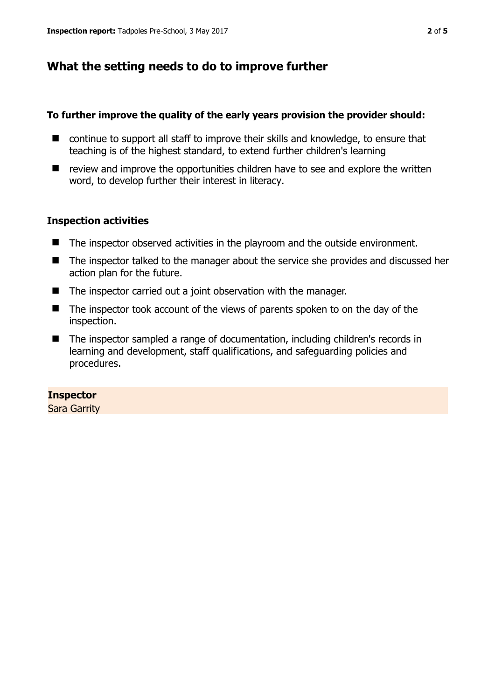# **What the setting needs to do to improve further**

## **To further improve the quality of the early years provision the provider should:**

- continue to support all staff to improve their skills and knowledge, to ensure that teaching is of the highest standard, to extend further children's learning
- $\blacksquare$  review and improve the opportunities children have to see and explore the written word, to develop further their interest in literacy.

## **Inspection activities**

- The inspector observed activities in the playroom and the outside environment.
- The inspector talked to the manager about the service she provides and discussed her action plan for the future.
- The inspector carried out a joint observation with the manager.
- The inspector took account of the views of parents spoken to on the day of the inspection.
- The inspector sampled a range of documentation, including children's records in learning and development, staff qualifications, and safeguarding policies and procedures.

## **Inspector**

Sara Garrity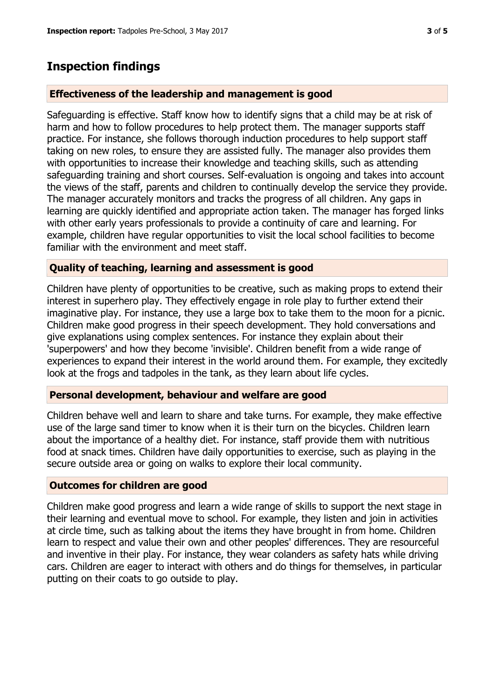# **Inspection findings**

## **Effectiveness of the leadership and management is good**

Safeguarding is effective. Staff know how to identify signs that a child may be at risk of harm and how to follow procedures to help protect them. The manager supports staff practice. For instance, she follows thorough induction procedures to help support staff taking on new roles, to ensure they are assisted fully. The manager also provides them with opportunities to increase their knowledge and teaching skills, such as attending safeguarding training and short courses. Self-evaluation is ongoing and takes into account the views of the staff, parents and children to continually develop the service they provide. The manager accurately monitors and tracks the progress of all children. Any gaps in learning are quickly identified and appropriate action taken. The manager has forged links with other early years professionals to provide a continuity of care and learning. For example, children have regular opportunities to visit the local school facilities to become familiar with the environment and meet staff.

## **Quality of teaching, learning and assessment is good**

Children have plenty of opportunities to be creative, such as making props to extend their interest in superhero play. They effectively engage in role play to further extend their imaginative play. For instance, they use a large box to take them to the moon for a picnic. Children make good progress in their speech development. They hold conversations and give explanations using complex sentences. For instance they explain about their 'superpowers' and how they become 'invisible'. Children benefit from a wide range of experiences to expand their interest in the world around them. For example, they excitedly look at the frogs and tadpoles in the tank, as they learn about life cycles.

## **Personal development, behaviour and welfare are good**

Children behave well and learn to share and take turns. For example, they make effective use of the large sand timer to know when it is their turn on the bicycles. Children learn about the importance of a healthy diet. For instance, staff provide them with nutritious food at snack times. Children have daily opportunities to exercise, such as playing in the secure outside area or going on walks to explore their local community.

## **Outcomes for children are good**

Children make good progress and learn a wide range of skills to support the next stage in their learning and eventual move to school. For example, they listen and join in activities at circle time, such as talking about the items they have brought in from home. Children learn to respect and value their own and other peoples' differences. They are resourceful and inventive in their play. For instance, they wear colanders as safety hats while driving cars. Children are eager to interact with others and do things for themselves, in particular putting on their coats to go outside to play.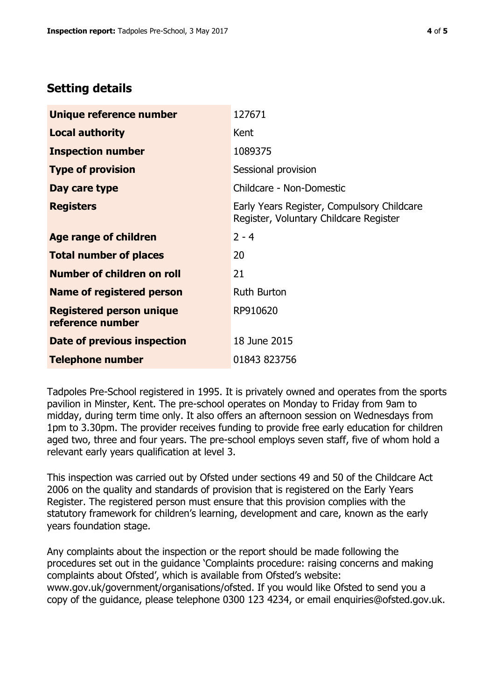# **Setting details**

| Unique reference number                             | 127671                                                                               |  |
|-----------------------------------------------------|--------------------------------------------------------------------------------------|--|
| <b>Local authority</b>                              | Kent                                                                                 |  |
| <b>Inspection number</b>                            | 1089375                                                                              |  |
| <b>Type of provision</b>                            | Sessional provision                                                                  |  |
| Day care type                                       | Childcare - Non-Domestic                                                             |  |
| <b>Registers</b>                                    | Early Years Register, Compulsory Childcare<br>Register, Voluntary Childcare Register |  |
| Age range of children                               | $2 - 4$                                                                              |  |
| <b>Total number of places</b>                       | 20                                                                                   |  |
| Number of children on roll                          | 21                                                                                   |  |
| Name of registered person                           | <b>Ruth Burton</b>                                                                   |  |
| <b>Registered person unique</b><br>reference number | RP910620                                                                             |  |
| Date of previous inspection                         | 18 June 2015                                                                         |  |
| <b>Telephone number</b>                             | 01843 823756                                                                         |  |

Tadpoles Pre-School registered in 1995. It is privately owned and operates from the sports pavilion in Minster, Kent. The pre-school operates on Monday to Friday from 9am to midday, during term time only. It also offers an afternoon session on Wednesdays from 1pm to 3.30pm. The provider receives funding to provide free early education for children aged two, three and four years. The pre-school employs seven staff, five of whom hold a relevant early years qualification at level 3.

This inspection was carried out by Ofsted under sections 49 and 50 of the Childcare Act 2006 on the quality and standards of provision that is registered on the Early Years Register. The registered person must ensure that this provision complies with the statutory framework for children's learning, development and care, known as the early years foundation stage.

Any complaints about the inspection or the report should be made following the procedures set out in the guidance 'Complaints procedure: raising concerns and making complaints about Ofsted', which is available from Ofsted's website: www.gov.uk/government/organisations/ofsted. If you would like Ofsted to send you a copy of the guidance, please telephone 0300 123 4234, or email enquiries@ofsted.gov.uk.